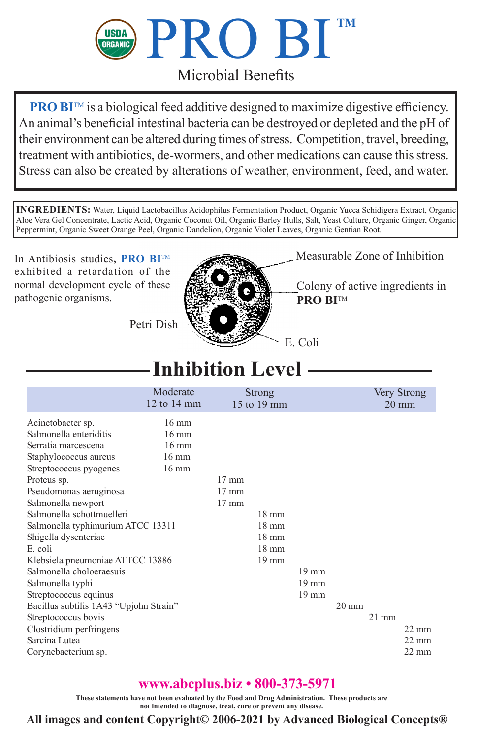

## Microbial Benefits

**PRO BI™** is a biological feed additive designed to maximize digestive efficiency. An animal's beneficial intestinal bacteria can be destroyed or depleted and the pH of their environment can be altered during times of stress. Competition, travel, breeding, treatment with antibiotics, de-wormers, and other medications can cause this stress. Stress can also be created by alterations of weather, environment, feed, and water.

**INGREDIENTS:** Water, Liquid Lactobacillus Acidophilus Fermentation Product, Organic Yucca Schidigera Extract, Organic Aloe Vera Gel Concentrate, Lactic Acid, Organic Coconut Oil, Organic Barley Hulls, Salt, Yeast Culture, Organic Ginger, Organic Peppermint, Organic Sweet Orange Peel, Organic Dandelion, Organic Violet Leaves, Organic Gentian Root.

In Antibiosis studies**, PRO BI**TM exhibited a retardation of the normal development cycle of these pathogenic organisms.



Measurable Zone of Inhibition

Colony of active ingredients in **PRO BITM** 

Petri Dish

## **Inhibition Level**

|                                        | Moderate<br>$12$ to $14$ mm | Strong<br>15 to 19 mm |                 |                 |                 |                 | Very Strong<br>$20 \text{ mm}$ |
|----------------------------------------|-----------------------------|-----------------------|-----------------|-----------------|-----------------|-----------------|--------------------------------|
| Acinetobacter sp.                      | $16 \text{ mm}$             |                       |                 |                 |                 |                 |                                |
| Salmonella enteriditis                 | $16 \text{ mm}$             |                       |                 |                 |                 |                 |                                |
| Serratia marcescena                    | $16 \text{ mm}$             |                       |                 |                 |                 |                 |                                |
| Staphylococcus aureus                  | $16 \text{ mm}$             |                       |                 |                 |                 |                 |                                |
| Streptococcus pyogenes                 | $16 \text{ mm}$             |                       |                 |                 |                 |                 |                                |
| Proteus sp.                            |                             | $17 \text{ mm}$       |                 |                 |                 |                 |                                |
| Pseudomonas aeruginosa                 |                             | $17 \text{ mm}$       |                 |                 |                 |                 |                                |
| Salmonella newport                     |                             | $17 \text{ mm}$       |                 |                 |                 |                 |                                |
| Salmonella schottmuelleri              |                             |                       | $18 \text{ mm}$ |                 |                 |                 |                                |
| Salmonella typhimurium ATCC 13311      |                             |                       | $18 \text{ mm}$ |                 |                 |                 |                                |
| Shigella dysenteriae                   |                             |                       | $18 \text{ mm}$ |                 |                 |                 |                                |
| E. coli                                |                             |                       | $18 \text{ mm}$ |                 |                 |                 |                                |
| Klebsiela pneumoniae ATTCC 13886       |                             |                       | $19 \text{ mm}$ |                 |                 |                 |                                |
| Salmonella choloeraesuis               |                             |                       |                 | $19 \text{ mm}$ |                 |                 |                                |
| Salmonella typhi                       |                             |                       |                 | $19$ mm         |                 |                 |                                |
| Streptococcus equinus                  |                             |                       |                 | $19 \text{ mm}$ |                 |                 |                                |
| Bacillus subtilis 1A43 "Upjohn Strain" |                             |                       |                 |                 | $20 \text{ mm}$ |                 |                                |
| Streptococcus bovis                    |                             |                       |                 |                 |                 | $21 \text{ mm}$ |                                |
| Clostridium perfringens                |                             |                       |                 |                 |                 |                 | $22 \text{ mm}$                |
| Sarcina Lutea                          |                             |                       |                 |                 |                 |                 | $22 \text{ mm}$                |
| Corynebacterium sp.                    |                             |                       |                 |                 |                 |                 | $22 \text{ mm}$                |

## **www.abcplus.biz • 800-373-5971**

**These statements have not been evaluated by the Food and Drug Administration. These products are not intended to diagnose, treat, cure or prevent any disease.**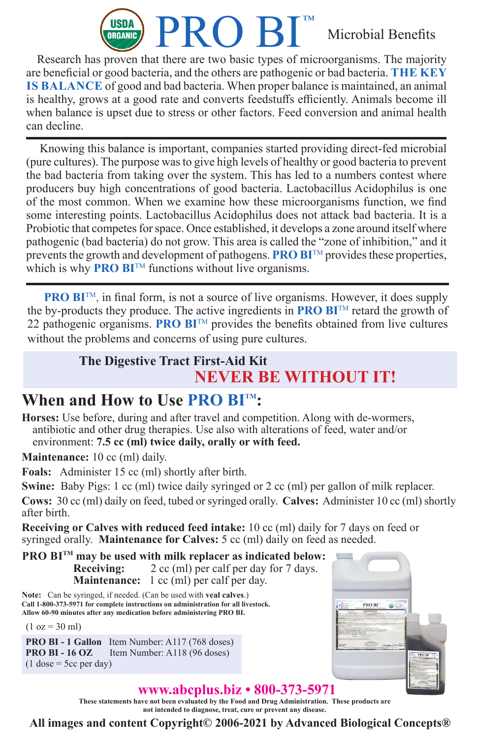

Research has proven that there are two basic types of microorganisms. The majority are beneficial or good bacteria, and the others are pathogenic or bad bacteria. **THE KEY IS BALANCE** of good and bad bacteria. When proper balance is maintained, an animal is healthy, grows at a good rate and converts feedstuffs efficiently. Animals become ill when balance is upset due to stress or other factors. Feed conversion and animal health can decline.

Knowing this balance is important, companies started providing direct-fed microbial (pure cultures). The purpose was to give high levels of healthy or good bacteria to prevent the bad bacteria from taking over the system. This has led to a numbers contest where producers buy high concentrations of good bacteria. Lactobacillus Acidophilus is one of the most common. When we examine how these microorganisms function, we find some interesting points. Lactobacillus Acidophilus does not attack bad bacteria. It is a Probiotic that competes for space. Once established, it develops a zone around itself where pathogenic (bad bacteria) do not grow. This area is called the "zone of inhibition," and it prevents the growth and development of pathogens. **PRO BI**<sup>TM</sup> provides these properties, which is why **PRO BI™** functions without live organisms.

**PRO BI**<sup>TM</sup>, in final form, is not a source of live organisms. However, it does supply the by-products they produce. The active ingredients in **PRO BI**TM retard the growth of 22 pathogenic organisms. **PRO BI**TM provides the benefits obtained from live cultures without the problems and concerns of using pure cultures.

## **The Digestive Tract First-Aid Kit NEVER BE WITHOUT IT!**

## **When and How to Use PRO BITM:**

**Horses:** Use before, during and after travel and competition. Along with de-wormers, antibiotic and other drug therapies. Use also with alterations of feed, water and/or environment: **7.5 cc (ml) twice daily, orally or with feed.**

**Maintenance:** 10 cc (ml) daily.

**Foals:** Administer 15 cc (ml) shortly after birth.

**Swine:** Baby Pigs: 1 cc (ml) twice daily syringed or 2 cc (ml) per gallon of milk replacer.

**Cows:** 30 cc (ml) daily on feed, tubed or syringed orally. **Calves:** Administer 10 cc (ml) shortly after birth.

**Receiving or Calves with reduced feed intake:** 10 cc (ml) daily for 7 days on feed or syringed orally. **Maintenance for Calves:** 5 cc (ml) daily on feed as needed.

**PRO BITM may be used with milk replacer as indicated below: Receiving:** 2 cc (ml) per calf per day for 7 days. **Maintenance:** 1 cc (ml) per calf per day.

**Note:** Can be syringed, if needed. (Can be used with **veal calves**.) **Call 1-800-373-5971 for complete instructions on administration for all livestock. Allow 60-90 minutes after any medication before administering PRO BI.**

 $(1 oz = 30 ml)$ 

**PRO BI - 1 Gallon** Item Number: A117 (768 doses)<br>**PRO BI - 16 OZ** Item Number: A118 (96 doses) **Item Number: A118 (96 doses)**  $(1$  dose = 5cc per day)



### **www.abcplus.biz • 800-373-5971**

**These statements have not been evaluated by the Food and Drug Administration. These products are not intended to diagnose, treat, cure or prevent any disease.**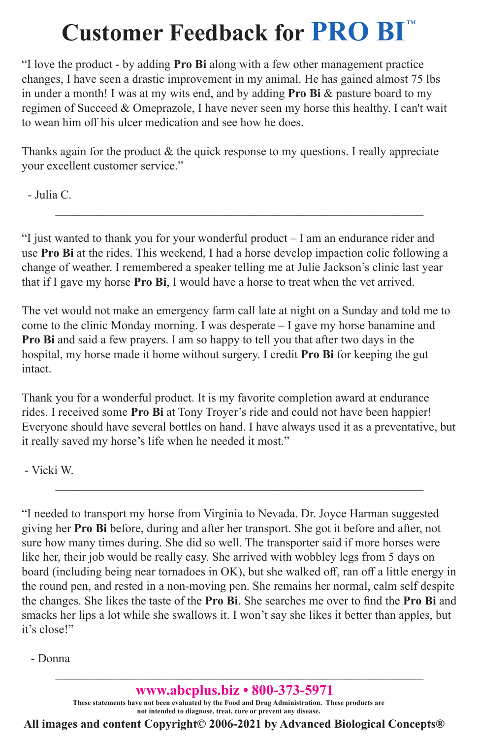# **Customer Feedback for PRO BI**<sup>m</sup>

"I love the product - by adding **Pro Bi** along with a few other management practice changes, I have seen a drastic improvement in my animal. He has gained almost 75 lbs in under a month! I was at my wits end, and by adding **Pro Bi** & pasture board to my regimen of Succeed & Omeprazole, I have never seen my horse this healthy. I can't wait to wean him off his ulcer medication and see how he does.

Thanks again for the product & the quick response to my questions. I really appreciate your excellent customer service."

- Julia C.

"I just wanted to thank you for your wonderful product – I am an endurance rider and use **Pro Bi** at the rides. This weekend, I had a horse develop impaction colic following a change of weather. I remembered a speaker telling me at Julie Jackson's clinic last year that if I gave my horse **Pro Bi**, I would have a horse to treat when the vet arrived.

 $\_$  ,  $\_$  ,  $\_$  ,  $\_$  ,  $\_$  ,  $\_$  ,  $\_$  ,  $\_$  ,  $\_$  ,  $\_$  ,  $\_$  ,  $\_$  ,  $\_$  ,  $\_$  ,  $\_$  ,  $\_$  ,  $\_$  ,  $\_$  ,  $\_$ 

The vet would not make an emergency farm call late at night on a Sunday and told me to come to the clinic Monday morning. I was desperate – I gave my horse banamine and **Pro Bi** and said a few prayers. I am so happy to tell you that after two days in the hospital, my horse made it home without surgery. I credit **Pro Bi** for keeping the gut intact.

Thank you for a wonderful product. It is my favorite completion award at endurance rides. I received some **Pro Bi** at Tony Troyer's ride and could not have been happier! Everyone should have several bottles on hand. I have always used it as a preventative, but it really saved my horse's life when he needed it most."

 $\_$  ,  $\_$  ,  $\_$  ,  $\_$  ,  $\_$  ,  $\_$  ,  $\_$  ,  $\_$  ,  $\_$  ,  $\_$  ,  $\_$  ,  $\_$  ,  $\_$  ,  $\_$  ,  $\_$  ,  $\_$  ,  $\_$  ,  $\_$  ,  $\_$ 

- Vicki W.

"I needed to transport my horse from Virginia to Nevada. Dr. Joyce Harman suggested giving her **Pro Bi** before, during and after her transport. She got it before and after, not sure how many times during. She did so well. The transporter said if more horses were like her, their job would be really easy. She arrived with wobbley legs from 5 days on board (including being near tornadoes in OK), but she walked off, ran off a little energy in the round pen, and rested in a non-moving pen. She remains her normal, calm self despite the changes. She likes the taste of the **Pro Bi**. She searches me over to find the **Pro Bi** and smacks her lips a lot while she swallows it. I won't say she likes it better than apples, but it's close!"

- Donna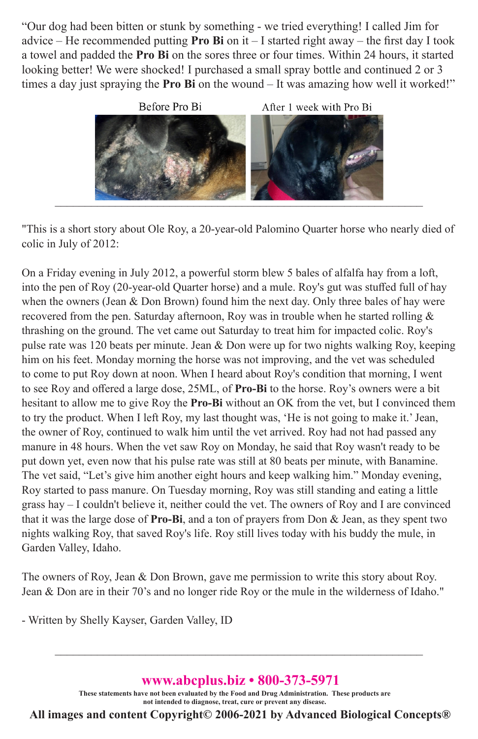"Our dog had been bitten or stunk by something - we tried everything! I called Jim for advice – He recommended putting **Pro Bi** on it – I started right away – the first day I took a towel and padded the **Pro Bi** on the sores three or four times. Within 24 hours, it started looking better! We were shocked! I purchased a small spray bottle and continued 2 or 3 times a day just spraying the **Pro Bi** on the wound – It was amazing how well it worked!"



"This is a short story about Ole Roy, a 20-year-old Palomino Quarter horse who nearly died of colic in July of 2012:

On a Friday evening in July 2012, a powerful storm blew 5 bales of alfalfa hay from a loft, into the pen of Roy (20-year-old Quarter horse) and a mule. Roy's gut was stuffed full of hay when the owners (Jean & Don Brown) found him the next day. Only three bales of hay were recovered from the pen. Saturday afternoon, Roy was in trouble when he started rolling & thrashing on the ground. The vet came out Saturday to treat him for impacted colic. Roy's pulse rate was 120 beats per minute. Jean & Don were up for two nights walking Roy, keeping him on his feet. Monday morning the horse was not improving, and the vet was scheduled to come to put Roy down at noon. When I heard about Roy's condition that morning, I went to see Roy and offered a large dose, 25ML, of **Pro-Bi** to the horse. Roy's owners were a bit hesitant to allow me to give Roy the **Pro-Bi** without an OK from the vet, but I convinced them to try the product. When I left Roy, my last thought was, 'He is not going to make it.' Jean, the owner of Roy, continued to walk him until the vet arrived. Roy had not had passed any manure in 48 hours. When the vet saw Roy on Monday, he said that Roy wasn't ready to be put down yet, even now that his pulse rate was still at 80 beats per minute, with Banamine. The vet said, "Let's give him another eight hours and keep walking him." Monday evening, Roy started to pass manure. On Tuesday morning, Roy was still standing and eating a little grass hay – I couldn't believe it, neither could the vet. The owners of Roy and I are convinced that it was the large dose of **Pro-Bi**, and a ton of prayers from Don & Jean, as they spent two nights walking Roy, that saved Roy's life. Roy still lives today with his buddy the mule, in Garden Valley, Idaho.

The owners of Roy, Jean & Don Brown, gave me permission to write this story about Roy. Jean & Don are in their 70's and no longer ride Roy or the mule in the wilderness of Idaho."

- Written by Shelly Kayser, Garden Valley, ID

### **www.abcplus.biz • 800-373-5971**

 $\_$  , and the set of the set of the set of the set of the set of the set of the set of the set of the set of the set of the set of the set of the set of the set of the set of the set of the set of the set of the set of th

**These statements have not been evaluated by the Food and Drug Administration. These products are not intended to diagnose, treat, cure or prevent any disease.**